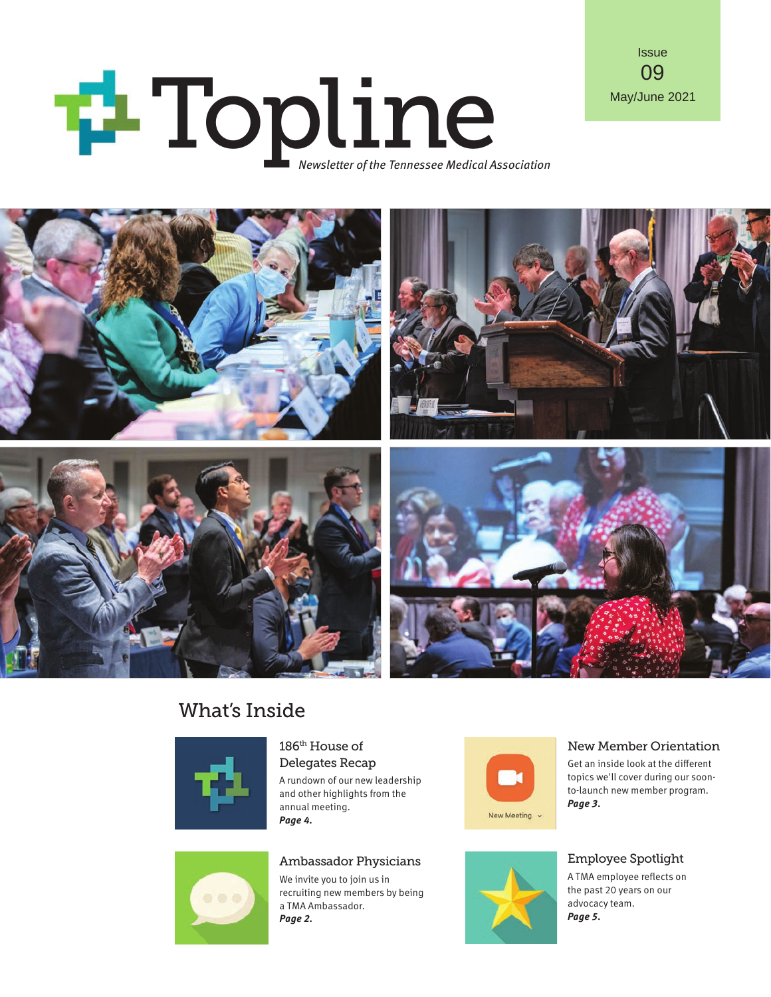# May/June 2021





## What's Inside



186th House of Delegates Recap

A rundown of our new leadership and other highlights from the annual meeting. *Page 4.*



#### New Member Orientation

Get an inside look at the different topics we'll cover during our soonto-launch new member program. *Page 3.*

#### Employee Spotlight

A TMA employee reflects on the past 20 years on our advocacy team. *Page 5.*



#### Ambassador Physicians

We invite you to join us in recruiting new members by being a TMA Ambassador. *Page 2.*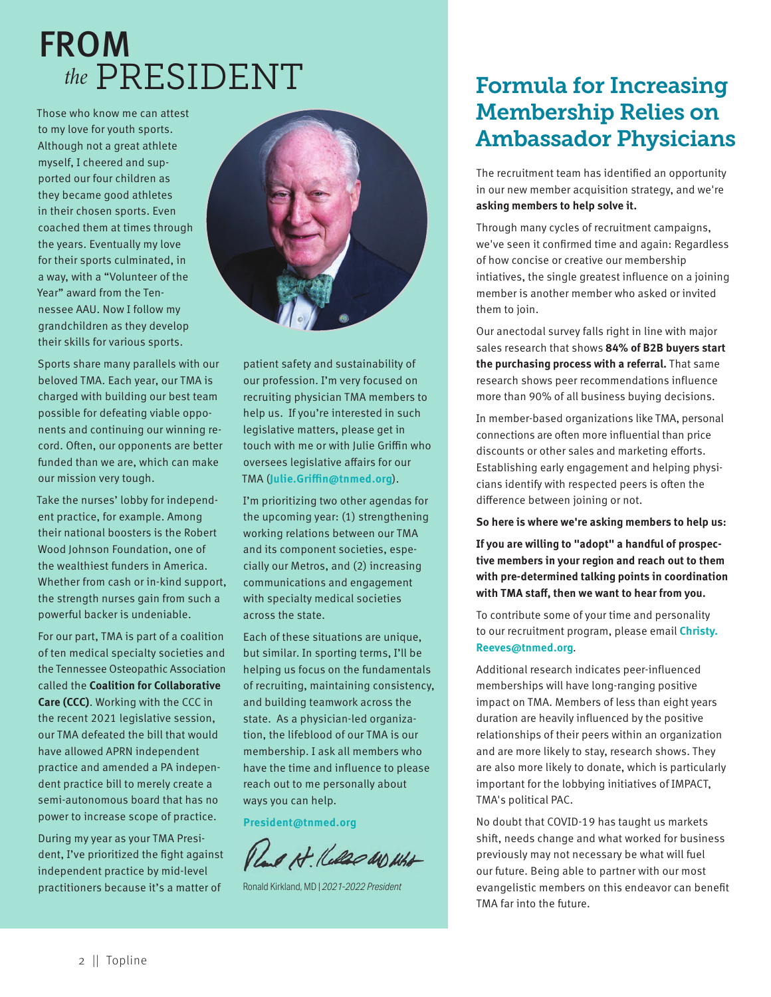## FROM *the* PRESIDENT **Formula for Increasing**

Those who know me can attest to my love for youth sports. Although not a great athlete myself, I cheered and supported our four children as they became good athletes in their chosen sports. Even coached them at times through the years. Eventually my love for their sports culminated, in a way, with a "Volunteer of the Year" award from the Tennessee AAU. Now I follow my grandchildren as they develop their skills for various sports.

Sports share many parallels with our beloved TMA. Each year, our TMA is charged with building our best team possible for defeating viable opponents and continuing our winning record. Often, our opponents are better funded than we are, which can make our mission very tough.

Take the nurses' lobby for independent practice, for example. Among their national boosters is the Robert Wood Johnson Foundation, one of the wealthiest funders in America. Whether from cash or in-kind support, the strength nurses gain from such a powerful backer is undeniable.

For our part, TMA is part of a coalition of ten medical specialty societies and the Tennessee Osteopathic Association called the **Coalition for Collaborative Care (CCC)**. Working with the CCC in the recent 2021 legislative session, our TMA defeated the bill that would have allowed APRN independent practice and amended a PA independent practice bill to merely create a semi-autonomous board that has no power to increase scope of practice.

During my year as your TMA President, I've prioritized the fight against independent practice by mid-level practitioners because it's a matter of



patient safety and sustainability of our profession. I'm very focused on recruiting physician TMA members to help us. If you're interested in such legislative matters, please get in touch with me or with Julie Griffin who oversees legislative affairs for our TMA (**Julie.Griffin@tnmed.org**).

I'm prioritizing two other agendas for the upcoming year: (1) strengthening working relations between our TMA and its component societies, especially our Metros, and (2) increasing communications and engagement with specialty medical societies across the state.

Each of these situations are unique, but similar. In sporting terms, I'll be helping us focus on the fundamentals of recruiting, maintaining consistency, and building teamwork across the state. As a physician-led organization, the lifeblood of our TMA is our membership. I ask all members who have the time and influence to please reach out to me personally about ways you can help.

**President@tnmed.org**

Pland Ht. Kelled WO What

Ronald Kirkland, MD | *2021-2022 President*

# Membership Relies on Ambassador Physicians

The recruitment team has identified an opportunity in our new member acquisition strategy, and we're **asking members to help solve it.**

Through many cycles of recruitment campaigns, we've seen it confirmed time and again: Regardless of how concise or creative our membership intiatives, the single greatest influence on a joining member is another member who asked or invited them to join.

Our anectodal survey falls right in line with major sales research that shows **84% of B2B buyers start the purchasing process with a referral.** That same research shows peer recommendations influence more than 90% of all business buying decisions.

In member-based organizations like TMA, personal connections are often more influential than price discounts or other sales and marketing efforts. Establishing early engagement and helping physicians identify with respected peers is often the difference between joining or not.

**So here is where we're asking members to help us:**

**If you are willing to "adopt" a handful of prospective members in your region and reach out to them with pre-determined talking points in coordination with TMA staff, then we want to hear from you.**

To contribute some of your time and personality to our recruitment program, please email **Christy. Reeves@tnmed.org**.

Additional research indicates peer-influenced memberships will have long-ranging positive impact on TMA. Members of less than eight years duration are heavily influenced by the positive relationships of their peers within an organization and are more likely to stay, research shows. They are also more likely to donate, which is particularly important for the lobbying initiatives of IMPACT, TMA's political PAC.

No doubt that COVID-19 has taught us markets shift, needs change and what worked for business previously may not necessary be what will fuel our future. Being able to partner with our most evangelistic members on this endeavor can benefit TMA far into the future.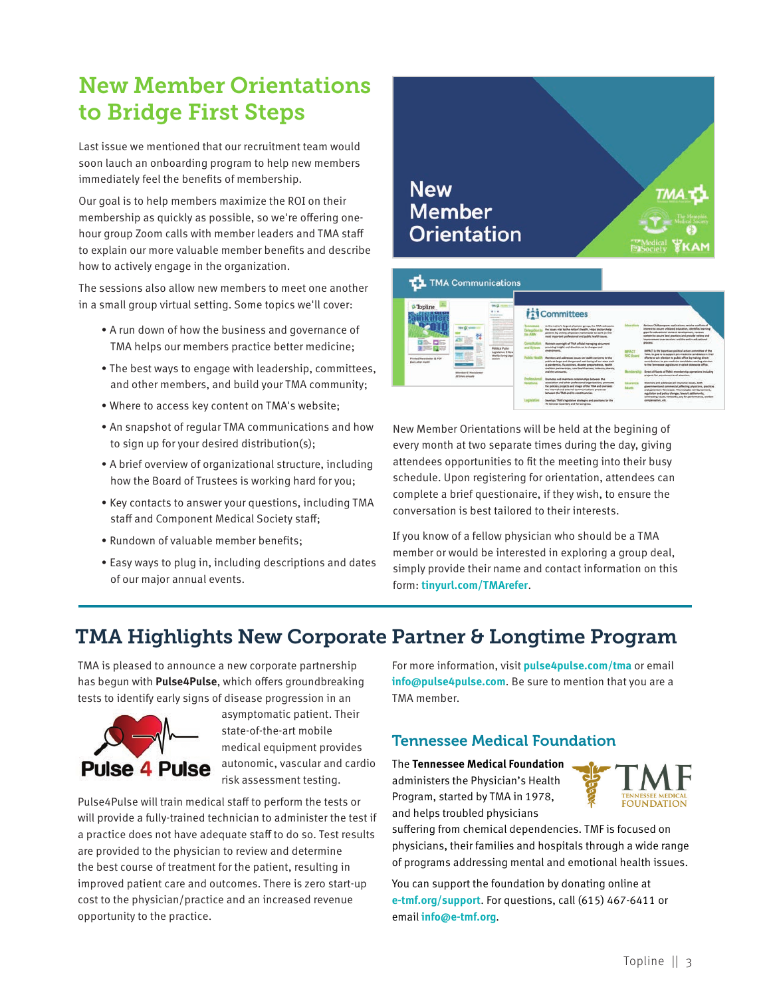## New Member Orientations to Bridge First Steps

Last issue we mentioned that our recruitment team would soon lauch an onboarding program to help new members immediately feel the benefits of membership.

Our goal is to help members maximize the ROI on their membership as quickly as possible, so we're offering onehour group Zoom calls with member leaders and TMA staff to explain our more valuable member benefits and describe how to actively engage in the organization.

The sessions also allow new members to meet one another in a small group virtual setting. Some topics we'll cover:

- A run down of how the business and governance of TMA helps our members practice better medicine;
- The best ways to engage with leadership, committees, and other members, and build your TMA community;
- Where to access key content on TMA's website;
- An snapshot of regular TMA communications and how to sign up for your desired distribution(s);
- A brief overview of organizational structure, including how the Board of Trustees is working hard for you;
- Key contacts to answer your questions, including TMA staff and Component Medical Society staff;
- Rundown of valuable member benefits;
- Easy ways to plug in, including descriptions and dates of our major annual events.



New Member Orientations will be held at the begining of every month at two separate times during the day, giving attendees opportunities to fit the meeting into their busy schedule. Upon registering for orientation, attendees can complete a brief questionaire, if they wish, to ensure the conversation is best tailored to their interests.

If you know of a fellow physician who should be a TMA member or would be interested in exploring a group deal, simply provide their name and contact information on this form: **tinyurl.com/TMArefer**.

### TMA Highlights New Corporate Partner & Longtime Program

TMA is pleased to announce a new corporate partnership has begun with **Pulse4Pulse**, which offers groundbreaking tests to identify early signs of disease progression in an



asymptomatic patient. Their state-of-the-art mobile medical equipment provides autonomic, vascular and cardio risk assessment testing.

Pulse4Pulse will train medical staff to perform the tests or will provide a fully-trained technician to administer the test if a practice does not have adequate staff to do so. Test results are provided to the physician to review and determine the best course of treatment for the patient, resulting in improved patient care and outcomes. There is zero start-up cost to the physician/practice and an increased revenue opportunity to the practice.

For more information, visit **pulse4pulse.com/tma** or email **info@pulse4pulse.com**. Be sure to mention that you are a TMA member.

#### Tennessee Medical Foundation

The **Tennessee Medical Foundation** administers the Physician's Health Program, started by TMA in 1978, and helps troubled physicians



You can support the foundation by donating online at **e-tmf.org/support**. For questions, call (615) 467-6411 or email **info@e-tmf.org**.

**EQUALDATION**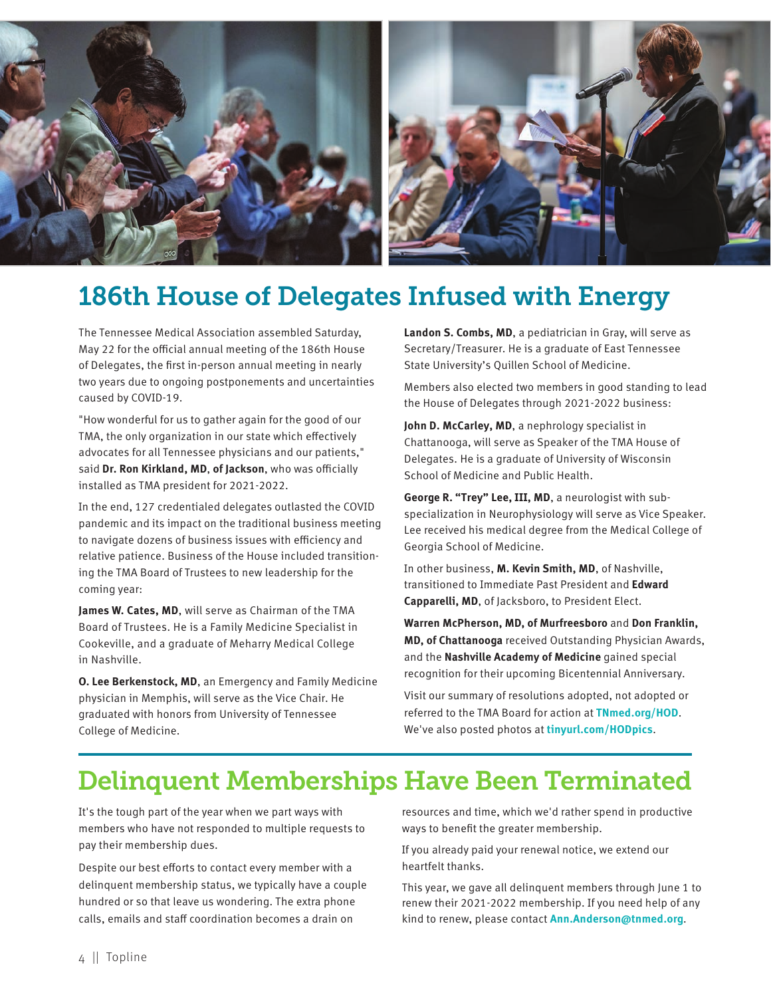

## 186th House of Delegates Infused with Energy

The Tennessee Medical Association assembled Saturday, May 22 for the official annual meeting of the 186th House of Delegates, the first in-person annual meeting in nearly two years due to ongoing postponements and uncertainties caused by COVID-19.

"How wonderful for us to gather again for the good of our TMA, the only organization in our state which effectively advocates for all Tennessee physicians and our patients," said **Dr. Ron Kirkland, MD**, **of Jackson**, who was officially installed as TMA president for 2021-2022.

In the end, 127 credentialed delegates outlasted the COVID pandemic and its impact on the traditional business meeting to navigate dozens of business issues with efficiency and relative patience. Business of the House included transitioning the TMA Board of Trustees to new leadership for the coming year:

**James W. Cates, MD**, will serve as Chairman of the TMA Board of Trustees. He is a Family Medicine Specialist in Cookeville, and a graduate of Meharry Medical College in Nashville.

**O. Lee Berkenstock, MD**, an Emergency and Family Medicine physician in Memphis, will serve as the Vice Chair. He graduated with honors from University of Tennessee College of Medicine.

**Landon S. Combs, MD**, a pediatrician in Gray, will serve as Secretary/Treasurer. He is a graduate of East Tennessee State University's Quillen School of Medicine.

Members also elected two members in good standing to lead the House of Delegates through 2021-2022 business:

**John D. McCarley, MD**, a nephrology specialist in Chattanooga, will serve as Speaker of the TMA House of Delegates. He is a graduate of University of Wisconsin School of Medicine and Public Health.

**George R. "Trey" Lee, III, MD**, a neurologist with subspecialization in Neurophysiology will serve as Vice Speaker. Lee received his medical degree from the Medical College of Georgia School of Medicine.

In other business, **M. Kevin Smith, MD**, of Nashville, transitioned to Immediate Past President and **Edward Capparelli, MD**, of Jacksboro, to President Elect.

**Warren McPherson, MD, of Murfreesboro** and **Don Franklin, MD, of Chattanooga** received Outstanding Physician Awards, and the **Nashville Academy of Medicine** gained special recognition for their upcoming Bicentennial Anniversary.

Visit our summary of resolutions adopted, not adopted or referred to the TMA Board for action at **TNmed.org/HOD**. We've also posted photos at **tinyurl.com/HODpics**.

## Delinquent Memberships Have Been Terminated

It's the tough part of the year when we part ways with members who have not responded to multiple requests to pay their membership dues.

Despite our best efforts to contact every member with a delinquent membership status, we typically have a couple hundred or so that leave us wondering. The extra phone calls, emails and staff coordination becomes a drain on

resources and time, which we'd rather spend in productive ways to benefit the greater membership.

If you already paid your renewal notice, we extend our heartfelt thanks.

This year, we gave all delinquent members through June 1 to renew their 2021-2022 membership. If you need help of any kind to renew, please contact **Ann.Anderson@tnmed.org**.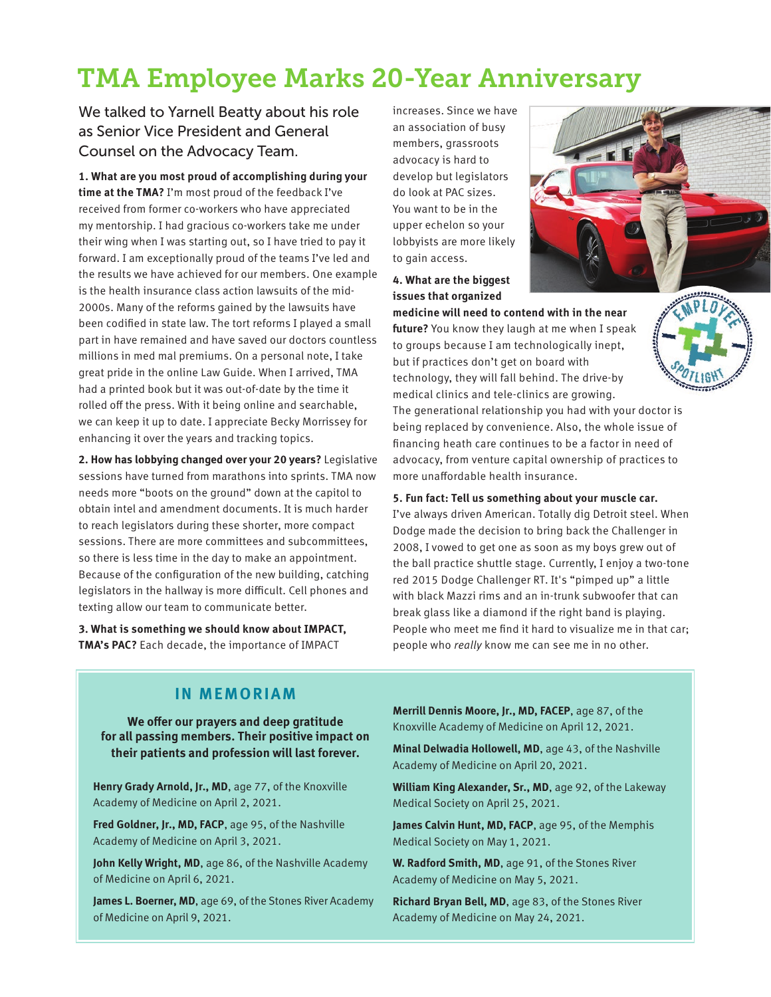## TMA Employee Marks 20-Year Anniversary

We talked to Yarnell Beatty about his role as Senior Vice President and General Counsel on the Advocacy Team.

**1. What are you most proud of accomplishing during your time at the TMA?** I'm most proud of the feedback I've received from former co-workers who have appreciated my mentorship. I had gracious co-workers take me under their wing when I was starting out, so I have tried to pay it forward. I am exceptionally proud of the teams I've led and the results we have achieved for our members. One example is the health insurance class action lawsuits of the mid-2000s. Many of the reforms gained by the lawsuits have been codified in state law. The tort reforms I played a small part in have remained and have saved our doctors countless millions in med mal premiums. On a personal note, I take great pride in the online Law Guide. When I arrived, TMA had a printed book but it was out-of-date by the time it rolled off the press. With it being online and searchable, we can keep it up to date. I appreciate Becky Morrissey for enhancing it over the years and tracking topics.

**2. How has lobbying changed over your 20 years?** Legislative sessions have turned from marathons into sprints. TMA now needs more "boots on the ground" down at the capitol to obtain intel and amendment documents. It is much harder to reach legislators during these shorter, more compact sessions. There are more committees and subcommittees, so there is less time in the day to make an appointment. Because of the configuration of the new building, catching legislators in the hallway is more difficult. Cell phones and texting allow our team to communicate better.

**3. What is something we should know about IMPACT, TMA's PAC?** Each decade, the importance of IMPACT

increases. Since we have an association of busy members, grassroots advocacy is hard to develop but legislators do look at PAC sizes. You want to be in the upper echelon so your lobbyists are more likely to gain access.

**4. What are the biggest issues that organized** 



**medicine will need to contend with in the near future?** You know they laugh at me when I speak to groups because I am technologically inept, but if practices don't get on board with technology, they will fall behind. The drive-by medical clinics and tele-clinics are growing.

The generational relationship you had with your doctor is being replaced by convenience. Also, the whole issue of financing heath care continues to be a factor in need of advocacy, from venture capital ownership of practices to more unaffordable health insurance.

**5. Fun fact: Tell us something about your muscle car.**  I've always driven American. Totally dig Detroit steel. When Dodge made the decision to bring back the Challenger in 2008, I vowed to get one as soon as my boys grew out of the ball practice shuttle stage. Currently, I enjoy a two-tone red 2015 Dodge Challenger RT. It's "pimped up" a little with black Mazzi rims and an in-trunk subwoofer that can break glass like a diamond if the right band is playing. People who meet me find it hard to visualize me in that car; people who *really* know me can see me in no other.

#### **IN MEMORIAM**

**We offer our prayers and deep gratitude for all passing members. Their positive impact on their patients and profession will last forever.** 

**Henry Grady Arnold, Jr., MD**, age 77, of the Knoxville Academy of Medicine on April 2, 2021.

**Fred Goldner, Jr., MD, FACP**, age 95, of the Nashville Academy of Medicine on April 3, 2021.

**John Kelly Wright, MD**, age 86, of the Nashville Academy of Medicine on April 6, 2021.

**James L. Boerner, MD**, age 69, of the Stones River Academy of Medicine on April 9, 2021.

**Merrill Dennis Moore, Jr., MD, FACEP**, age 87, of the Knoxville Academy of Medicine on April 12, 2021.

**Minal Delwadia Hollowell, MD**, age 43, of the Nashville Academy of Medicine on April 20, 2021.

**William King Alexander, Sr., MD**, age 92, of the Lakeway Medical Society on April 25, 2021.

**James Calvin Hunt, MD, FACP**, age 95, of the Memphis Medical Society on May 1, 2021.

**W. Radford Smith, MD**, age 91, of the Stones River Academy of Medicine on May 5, 2021.

**Richard Bryan Bell, MD**, age 83, of the Stones River Academy of Medicine on May 24, 2021.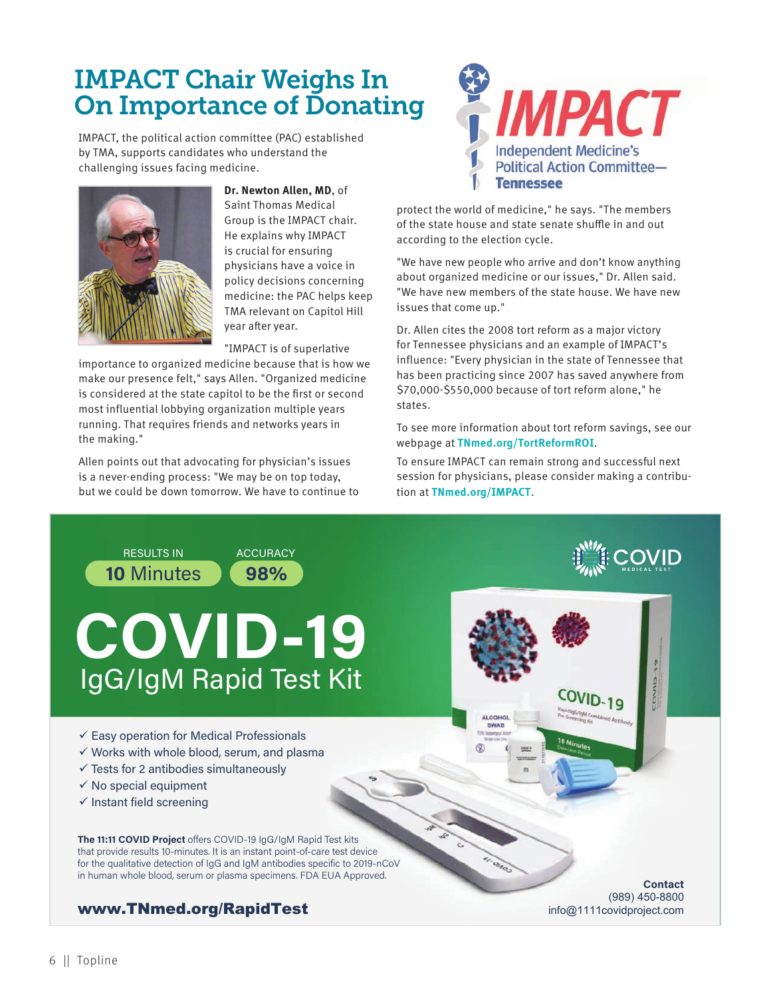## IMPACT Chair Weighs In On Importance of Donating

IMPACT, the political action committee (PAC) established by TMA, supports candidates who understand the challenging issues facing medicine.



**Dr. Newton Allen, MD**, of Saint Thomas Medical Group is the IMPACT chair. He explains why IMPACT is crucial for ensuring physicians have a voice in policy decisions concerning medicine: the PAC helps keep TMA relevant on Capitol Hill year after year.

"IMPACT is of superlative

importance to organized medicine because that is how we make our presence felt," says Allen. "Organized medicine is considered at the state capitol to be the first or second most influential lobbying organization multiple years running. That requires friends and networks years in the making."

Allen points out that advocating for physician's issues is a never-ending process: "We may be on top today, but we could be down tomorrow. We have to continue to



protect the world of medicine," he says. "The members of the state house and state senate shuffle in and out according to the election cycle.

"We have new people who arrive and don't know anything about organized medicine or our issues," Dr. Allen said. "We have new members of the state house. We have new issues that come up."

Dr. Allen cites the 2008 tort reform as a major victory for Tennessee physicians and an example of IMPACT's influence: "Every physician in the state of Tennessee that has been practicing since 2007 has saved anywhere from \$70,000-\$550,000 because of tort reform alone," he states.

To see more information about tort reform savings, see our webpage at **TNmed.org/TortReformROI**.

To ensure IMPACT can remain strong and successful next session for physicians, please consider making a contribution at **TNmed.org/IMPACT**.

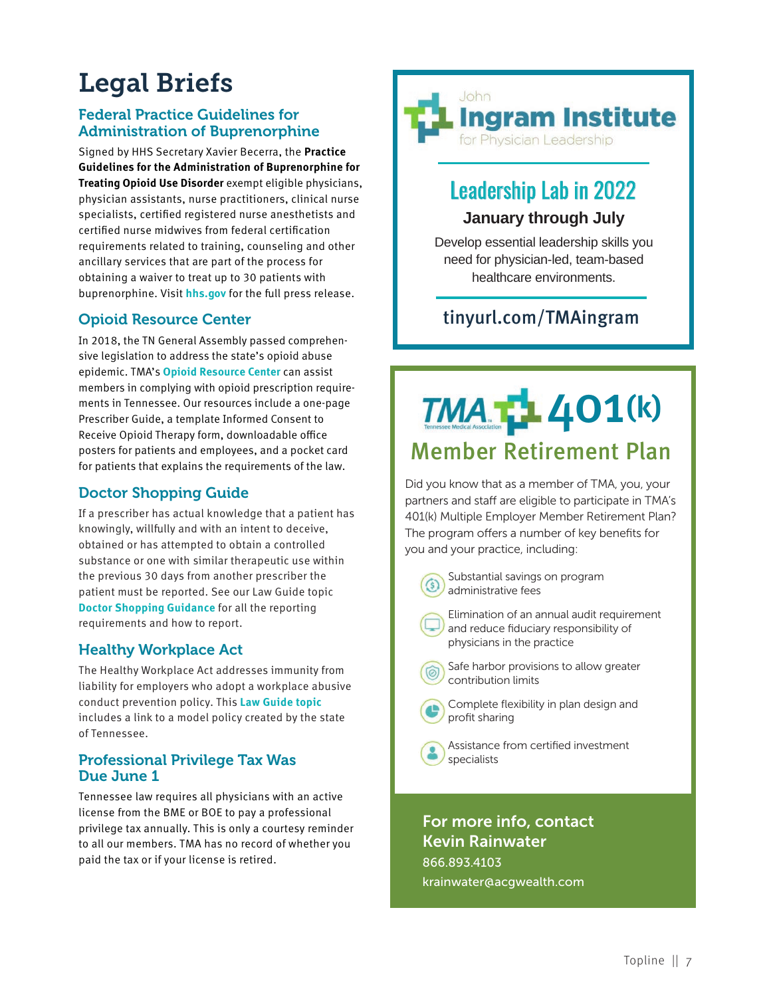## Legal Briefs

#### Federal Practice Guidelines for Administration of Buprenorphine

Signed by HHS Secretary Xavier Becerra, the **Practice Guidelines for the Administration of Buprenorphine for Treating Opioid Use Disorder** exempt eligible physicians, physician assistants, nurse practitioners, clinical nurse specialists, certified registered nurse anesthetists and certified nurse midwives from federal certification requirements related to training, counseling and other ancillary services that are part of the process for obtaining a waiver to treat up to 30 patients with buprenorphine. Visit **hhs.gov** for the full press release.

#### Opioid Resource Center

In 2018, the TN General Assembly passed comprehensive legislation to address the state's opioid abuse epidemic. TMA's **Opioid Resource Center** can assist members in complying with opioid prescription requirements in Tennessee. Our resources include a one-page Prescriber Guide, a template Informed Consent to Receive Opioid Therapy form, downloadable office posters for patients and employees, and a pocket card for patients that explains the requirements of the law.

#### Doctor Shopping Guide

If a prescriber has actual knowledge that a patient has knowingly, willfully and with an intent to deceive, obtained or has attempted to obtain a controlled substance or one with similar therapeutic use within the previous 30 days from another prescriber the patient must be reported. See our Law Guide topic **Doctor Shopping Guidance** for all the reporting requirements and how to report.

#### Healthy Workplace Act

The Healthy Workplace Act addresses immunity from liability for employers who adopt a workplace abusive conduct prevention policy. This **Law Guide topic** includes a link to a model policy created by the state of Tennessee.

#### Professional Privilege Tax Was Due June 1

Tennessee law requires all physicians with an active license from the BME or BOE to pay a professional privilege tax annually. This is only a courtesy reminder to all our members. TMA has no record of whether you paid the tax or if your license is retired.



## Leadership Lab in 2022 **January through July**

Develop essential leadership skills you need for physician-led, team-based healthcare environments.

#### tinyurl.com/TMAingram

# 401**(k)** Member Retirement Plan

Did you know that as a member of TMA, you, your partners and staff are eligible to participate in TMA's 401(k) Multiple Employer Member Retirement Plan? The program offers a number of key benefits for you and your practice, including:



 Substantial savings on program administrative fees

 Elimination of an annual audit requirement and reduce fiduciary responsibility of physicians in the practice

 Safe harbor provisions to allow greater contribution limits



 Complete flexibility in plan design and profit sharing



 Assistance from certified investment specialists

#### For more info, contact Kevin Rainwater 866.893.4103

krainwater@acgwealth.com